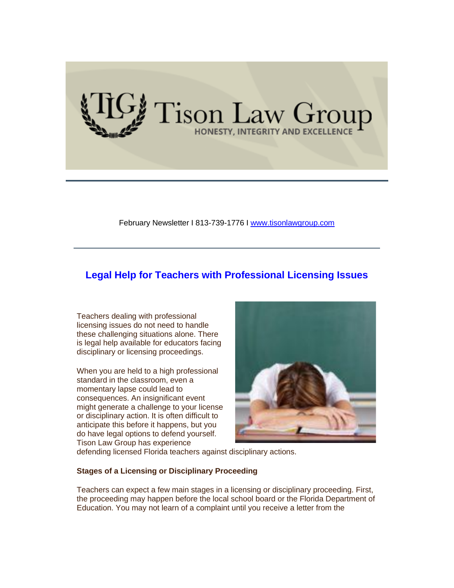

February Newsletter I 813-739-1776 I [www.tisonlawgroup.com](https://r20.rs6.net/tn.jsp?f=001onWZfvn-hA_EY6VqZzwGUFtwJy2gX7JD9xW1_XCahQXkCbF_qxprKVDmeI1vxJYD_A_eAbPddjHt6M83bO77Vi8hFEsXEvHsyUPkVvNwTCe5M6Fvs_zilduyRF-S9rqWcA8_gB1lzcezLHgdcglVJg==&c=G3ICMiJYPk1SN2olJl05O2a-OCa4_EqbUsBqo4rIbaieeF5BKKouVw==&ch=P1vU3kZvfrj4pNCIS10tMqeeA-d8xoSXSN8RGF8fivnJG-C-LyHcUQ==)

## **Legal Help for Teachers with Professional Licensing Issues**

Teachers dealing with professional licensing issues do not need to handle these challenging situations alone. There is legal help available for educators facing disciplinary or licensing proceedings.

When you are held to a high professional standard in the classroom, even a momentary lapse could lead to consequences. An insignificant event might generate a challenge to your license or disciplinary action. It is often difficult to anticipate this before it happens, but you do have legal options to defend yourself. Tison Law Group has experience



defending licensed Florida teachers against disciplinary actions.

### **Stages of a Licensing or Disciplinary Proceeding**

Teachers can expect a few main stages in a licensing or disciplinary proceeding. First, the proceeding may happen before the local school board or the Florida Department of Education. You may not learn of a complaint until you receive a letter from the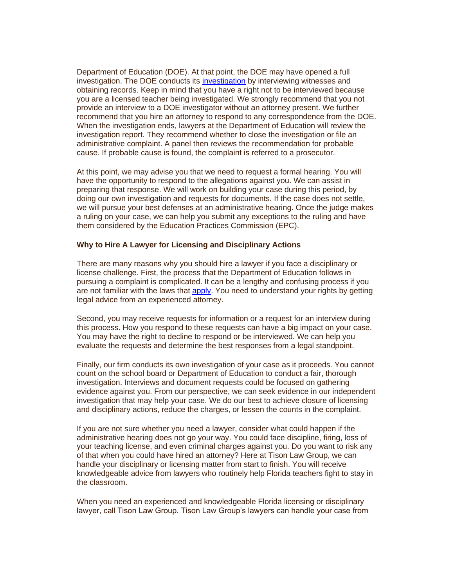Department of Education (DOE). At that point, the DOE may have opened a full investigation. The DOE conducts it[s investigation](https://r20.rs6.net/tn.jsp?f=001onWZfvn-hA_EY6VqZzwGUFtwJy2gX7JD9xW1_XCahQXkCbF_qxprKc3s4ItfGO_ZqMtUhvMsIr7xjGTSg3ncbv7--w1qSYiklFoI95D0uagyLIOSciMkCB66TeIcNcnFZQ4xSp55GwuoCqPDq8jMl94tmYEVlKJm6EmF9_XEuGwkegNs2Sr2EqN9muteRpnJ&c=G3ICMiJYPk1SN2olJl05O2a-OCa4_EqbUsBqo4rIbaieeF5BKKouVw==&ch=P1vU3kZvfrj4pNCIS10tMqeeA-d8xoSXSN8RGF8fivnJG-C-LyHcUQ==) by interviewing witnesses and obtaining records. Keep in mind that you have a right not to be interviewed because you are a licensed teacher being investigated. We strongly recommend that you not provide an interview to a DOE investigator without an attorney present. We further recommend that you hire an attorney to respond to any correspondence from the DOE. When the investigation ends, lawyers at the Department of Education will review the investigation report. They recommend whether to close the investigation or file an administrative complaint. A panel then reviews the recommendation for probable cause. If probable cause is found, the complaint is referred to a prosecutor.

At this point, we may advise you that we need to request a formal hearing. You will have the opportunity to respond to the allegations against you. We can assist in preparing that response. We will work on building your case during this period, by doing our own investigation and requests for documents. If the case does not settle, we will pursue your best defenses at an administrative hearing. Once the judge makes a ruling on your case, we can help you submit any exceptions to the ruling and have them considered by the Education Practices Commission (EPC).

#### **Why to Hire A Lawyer for Licensing and Disciplinary Actions**

There are many reasons why you should hire a lawyer if you face a disciplinary or license challenge. First, the process that the Department of Education follows in pursuing a complaint is complicated. It can be a lengthy and confusing process if you are not familiar with the laws that [apply.](https://r20.rs6.net/tn.jsp?f=001onWZfvn-hA_EY6VqZzwGUFtwJy2gX7JD9xW1_XCahQXkCbF_qxprKc3s4ItfGO_ZwS8ynufLuPUW2jusmZRH7Naid2xWn11qyfLNhh2HFUm7Pd27_9dhK5-DF1Txzx3WlSN7ZfNl5pKcOS5FPnSPSB3F4T6VpXhTeyoPGdieshaxw3ThA3S2mVQK5i6YQfQDTQuqTwmlvR925r0sZPwul_c-BjgN44phv5Hx4CMHyuCcX1YJWh3KQQ==&c=G3ICMiJYPk1SN2olJl05O2a-OCa4_EqbUsBqo4rIbaieeF5BKKouVw==&ch=P1vU3kZvfrj4pNCIS10tMqeeA-d8xoSXSN8RGF8fivnJG-C-LyHcUQ==) You need to understand your rights by getting legal advice from an experienced attorney.

Second, you may receive requests for information or a request for an interview during this process. How you respond to these requests can have a big impact on your case. You may have the right to decline to respond or be interviewed. We can help you evaluate the requests and determine the best responses from a legal standpoint.

Finally, our firm conducts its own investigation of your case as it proceeds. You cannot count on the school board or Department of Education to conduct a fair, thorough investigation. Interviews and document requests could be focused on gathering evidence against you. From our perspective, we can seek evidence in our independent investigation that may help your case. We do our best to achieve closure of licensing and disciplinary actions, reduce the charges, or lessen the counts in the complaint.

If you are not sure whether you need a lawyer, consider what could happen if the administrative hearing does not go your way. You could face discipline, firing, loss of your teaching license, and even criminal charges against you. Do you want to risk any of that when you could have hired an attorney? Here at Tison Law Group, we can handle your disciplinary or licensing matter from start to finish. You will receive knowledgeable advice from lawyers who routinely help Florida teachers fight to stay in the classroom.

When you need an experienced and knowledgeable Florida licensing or disciplinary lawyer, call Tison Law Group. Tison Law Group's lawyers can handle your case from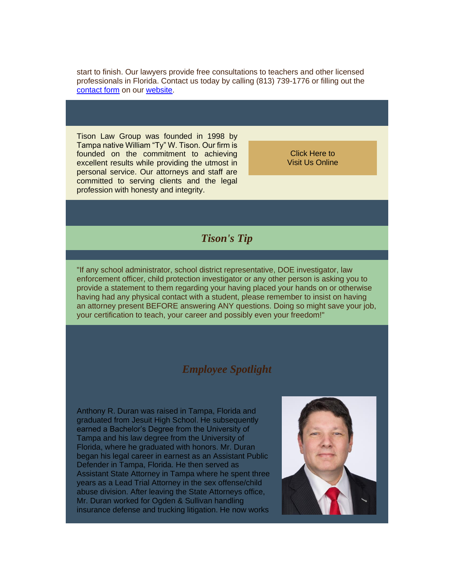start to finish. Our lawyers provide free consultations to teachers and other licensed professionals in Florida. Contact us today by calling (813) 739-1776 or filling out the [contact form](https://r20.rs6.net/tn.jsp?f=001onWZfvn-hA_EY6VqZzwGUFtwJy2gX7JD9xW1_XCahQXkCbF_qxprKcaE-v_ccRM8i9S_CP9VVp0jPVJCXlHblMOl76ajrJtLIZfdFZoJwxzYNT3qRVEEyWGzb89TVqRT17mKeKW4oDjytNswVMayLi2ITXGHCQ_apTT0o6JUWm0=&c=G3ICMiJYPk1SN2olJl05O2a-OCa4_EqbUsBqo4rIbaieeF5BKKouVw==&ch=P1vU3kZvfrj4pNCIS10tMqeeA-d8xoSXSN8RGF8fivnJG-C-LyHcUQ==) on our [website.](https://r20.rs6.net/tn.jsp?f=001onWZfvn-hA_EY6VqZzwGUFtwJy2gX7JD9xW1_XCahQXkCbF_qxprKTqkrBdASILe5I8hB5GTMNMsIk0juHP1teqmmPwvyohfmtChsf4gXyiL9-NE9tm2m7VKINKRnRRDuMPRBBlpYzkcEIkDbgC1aQ==&c=G3ICMiJYPk1SN2olJl05O2a-OCa4_EqbUsBqo4rIbaieeF5BKKouVw==&ch=P1vU3kZvfrj4pNCIS10tMqeeA-d8xoSXSN8RGF8fivnJG-C-LyHcUQ==)

Tison Law Group was founded in 1998 by Tampa native William "Ty" W. Tison. Our firm is founded on the commitment to achieving excellent results while providing the utmost in personal service. Our attorneys and staff are committed to serving clients and the legal profession with honesty and integrity.

[Click Here to](https://r20.rs6.net/tn.jsp?f=001onWZfvn-hA_EY6VqZzwGUFtwJy2gX7JD9xW1_XCahQXkCbF_qxprKTqkrBdASILe5I8hB5GTMNMsIk0juHP1teqmmPwvyohfmtChsf4gXyiL9-NE9tm2m7VKINKRnRRDuMPRBBlpYzkcEIkDbgC1aQ==&c=G3ICMiJYPk1SN2olJl05O2a-OCa4_EqbUsBqo4rIbaieeF5BKKouVw==&ch=P1vU3kZvfrj4pNCIS10tMqeeA-d8xoSXSN8RGF8fivnJG-C-LyHcUQ==)  [Visit Us Online](https://r20.rs6.net/tn.jsp?f=001onWZfvn-hA_EY6VqZzwGUFtwJy2gX7JD9xW1_XCahQXkCbF_qxprKTqkrBdASILe5I8hB5GTMNMsIk0juHP1teqmmPwvyohfmtChsf4gXyiL9-NE9tm2m7VKINKRnRRDuMPRBBlpYzkcEIkDbgC1aQ==&c=G3ICMiJYPk1SN2olJl05O2a-OCa4_EqbUsBqo4rIbaieeF5BKKouVw==&ch=P1vU3kZvfrj4pNCIS10tMqeeA-d8xoSXSN8RGF8fivnJG-C-LyHcUQ==)

# *Tison's Tip*

"If any school administrator, school district representative, DOE investigator, law enforcement officer, child protection investigator or any other person is asking you to provide a statement to them regarding your having placed your hands on or otherwise having had any physical contact with a student, please remember to insist on having an attorney present BEFORE answering ANY questions. Doing so might save your job, your certification to teach, your career and possibly even your freedom!"

## *Employee Spotlight*

Anthony R. Duran was raised in Tampa, Florida and graduated from Jesuit High School. He subsequently earned a Bachelor's Degree from the University of Tampa and his law degree from the University of Florida, where he graduated with honors. Mr. Duran began his legal career in earnest as an Assistant Public Defender in Tampa, Florida. He then served as Assistant State Attorney in Tampa where he spent three years as a Lead Trial Attorney in the sex offense/child abuse division. After leaving the State Attorneys office, Mr. Duran worked for Ogden & Sullivan handling insurance defense and trucking litigation. He now works